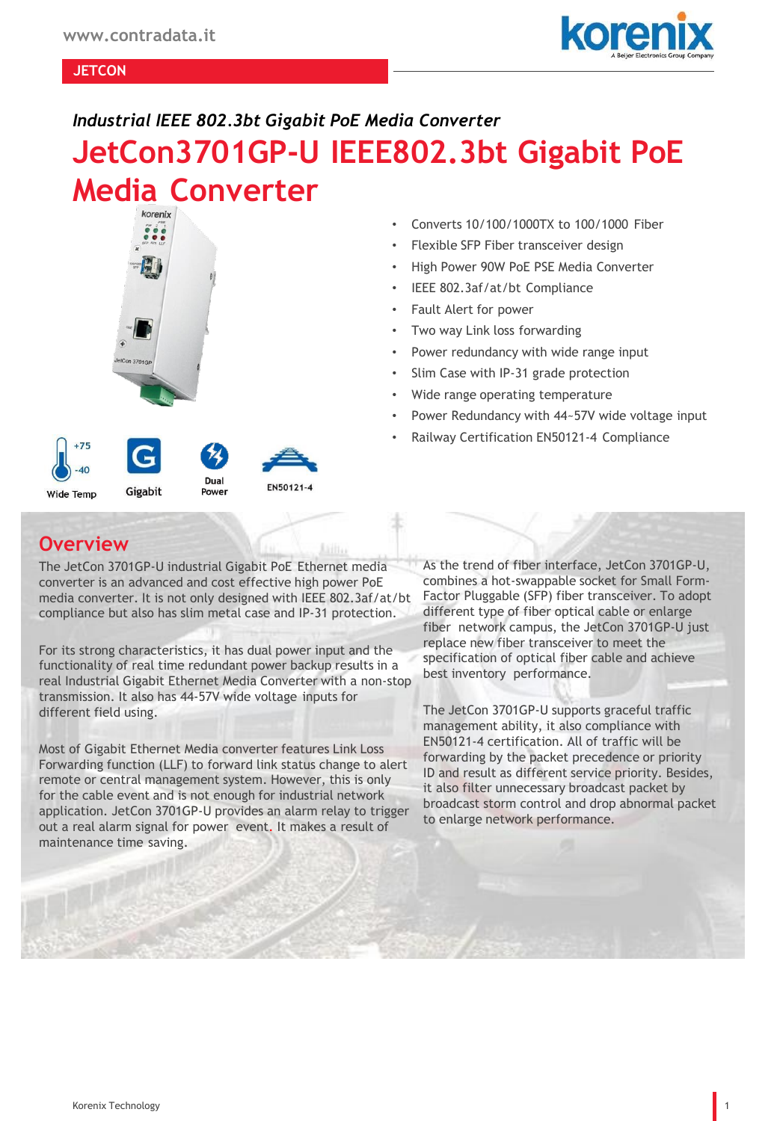

#### **JETCON**

#### *Industrial IEEE 802.3bt Gigabit PoE Media Converter*

# **JetCon3701GP-U IEEE802.3bt Gigabit PoE Media Converter**



40 Dual EN50121-4 Gigabit Power

### • Converts 10/100/1000TX to 100/1000 Fiber

- Flexible SFP Fiber transceiver design
- High Power 90W PoE PSE Media Converter
- IEEE 802.3af/at/bt Compliance
- Fault Alert for power
- Two way Link loss forwarding
- Power redundancy with wide range input
- Slim Case with IP-31 grade protection
- Wide range operating temperature
- Power Redundancy with 44~57V wide voltage input
- Railway Certification EN50121-4 Compliance

#### **Overview**

Wide Temp

The JetCon 3701GP-U industrial Gigabit PoE Ethernet media converter is an advanced and cost effective high power PoE media converter. It is not only designed with IEEE 802.3af/at/bt compliance but also has slim metal case and IP-31 protection.

For its strong characteristics, it has dual power input and the functionality of real time redundant power backup results in a real Industrial Gigabit Ethernet Media Converter with a non-stop transmission. It also has 44-57V wide voltage inputs for different field using.

Most of Gigabit Ethernet Media converter features Link Loss Forwarding function (LLF) to forward link status change to alert remote or central management system. However, this is only for the cable event and is not enough for industrial network application. JetCon 3701GP-U provides an alarm relay to trigger out a real alarm signal for power event. It makes a result of maintenance time saving.

As the trend of fiber interface, JetCon 3701GP-U, combines a hot-swappable socket for Small Form-Factor Pluggable (SFP) fiber transceiver. To adopt different type of fiber optical cable or enlarge fiber network campus, the JetCon 3701GP-U just replace new fiber transceiver to meet the specification of optical fiber cable and achieve best inventory performance.

The JetCon 3701GP-U supports graceful traffic management ability, it also compliance with EN50121-4 certification. All of traffic will be forwarding by the packet precedence or priority ID and result as different service priority. Besides, it also filter unnecessary broadcast packet by broadcast storm control and drop abnormal packet to enlarge network performance.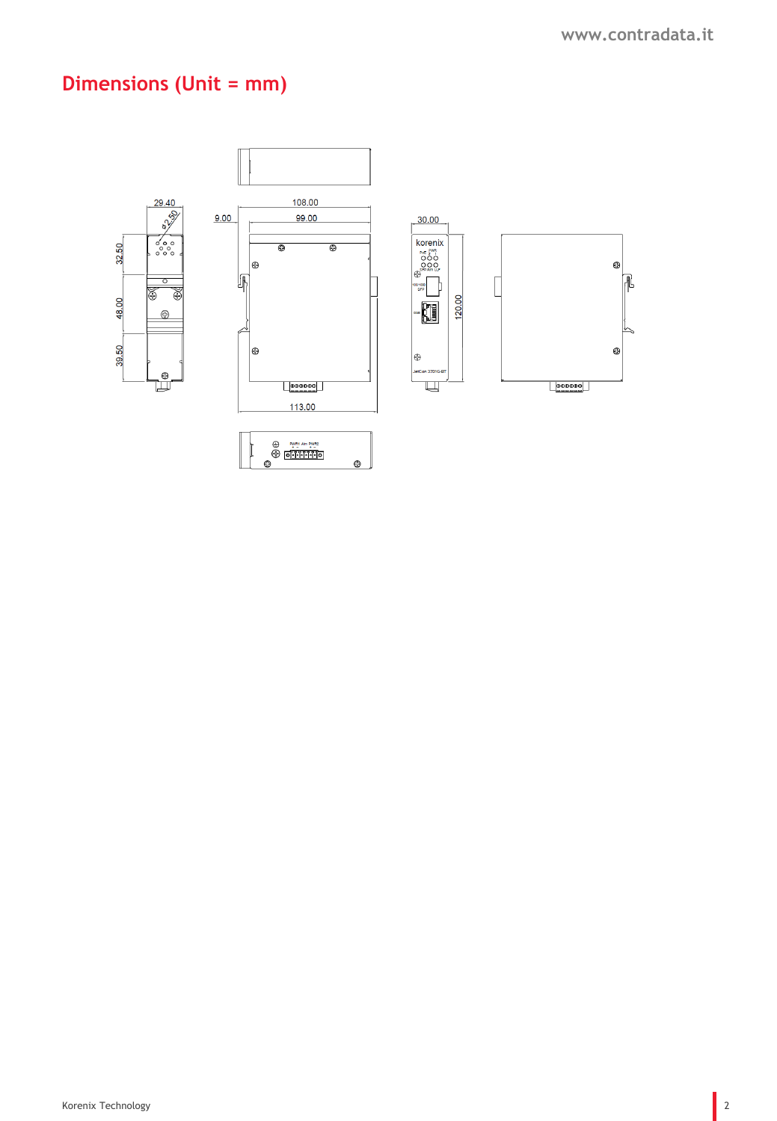# **Dimensions (Unit = mm)**

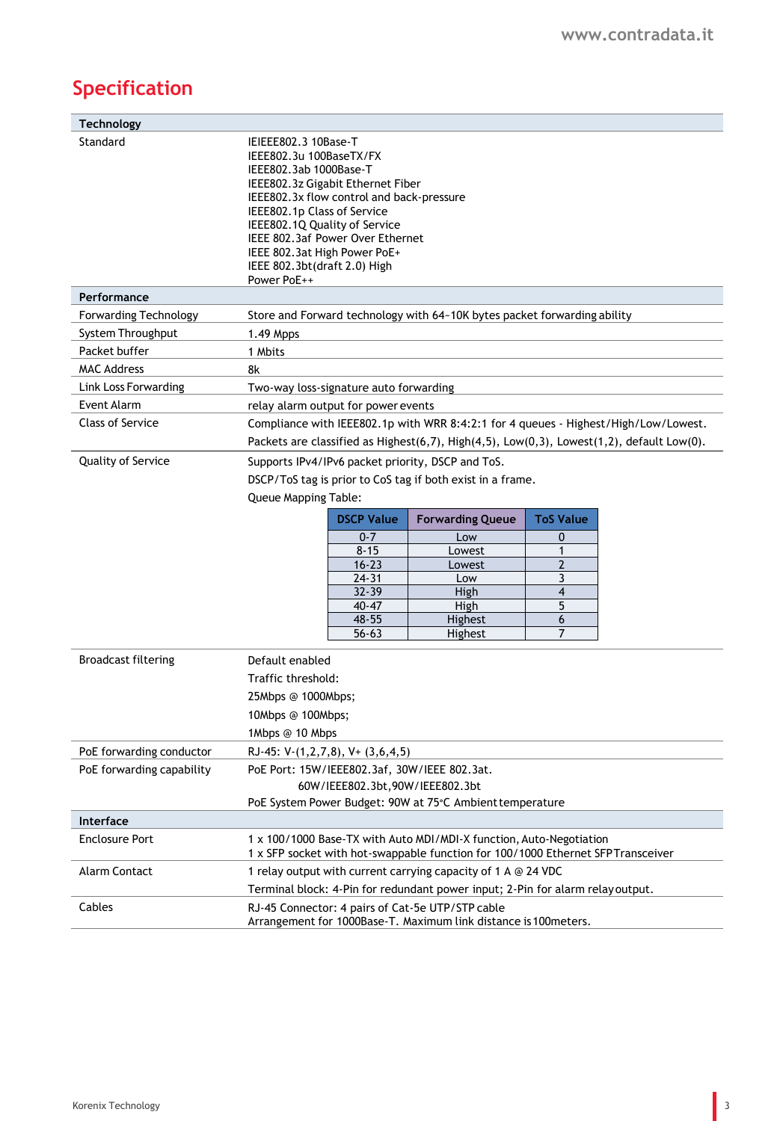# **Specification**

| <b>Technology</b>            |                                                                                                                                                                                                                                                                                                                                                |                         |                              |  |  |
|------------------------------|------------------------------------------------------------------------------------------------------------------------------------------------------------------------------------------------------------------------------------------------------------------------------------------------------------------------------------------------|-------------------------|------------------------------|--|--|
| Standard                     | IEIEEE802.3 10Base-T<br>IEEE802.3u 100BaseTX/FX<br>IEEE802.3ab 1000Base-T<br>IEEE802.3z Gigabit Ethernet Fiber<br>IEEE802.3x flow control and back-pressure<br>IEEE802.1p Class of Service<br>IEEE802.1Q Quality of Service<br>IEEE 802.3af Power Over Ethernet<br>IEEE 802.3at High Power PoE+<br>IEEE 802.3bt(draft 2.0) High<br>Power PoE++ |                         |                              |  |  |
| Performance                  |                                                                                                                                                                                                                                                                                                                                                |                         |                              |  |  |
| <b>Forwarding Technology</b> | Store and Forward technology with 64~10K bytes packet forwarding ability                                                                                                                                                                                                                                                                       |                         |                              |  |  |
| System Throughput            | 1.49 Mpps                                                                                                                                                                                                                                                                                                                                      |                         |                              |  |  |
| Packet buffer                | 1 Mbits                                                                                                                                                                                                                                                                                                                                        |                         |                              |  |  |
| <b>MAC Address</b>           | 8k                                                                                                                                                                                                                                                                                                                                             |                         |                              |  |  |
| Link Loss Forwarding         | Two-way loss-signature auto forwarding                                                                                                                                                                                                                                                                                                         |                         |                              |  |  |
| <b>Event Alarm</b>           | relay alarm output for power events                                                                                                                                                                                                                                                                                                            |                         |                              |  |  |
| <b>Class of Service</b>      | Compliance with IEEE802.1p with WRR 8:4:2:1 for 4 queues - Highest/High/Low/Lowest.                                                                                                                                                                                                                                                            |                         |                              |  |  |
|                              | Packets are classified as Highest(6,7), High(4,5), Low(0,3), Lowest(1,2), default Low(0).                                                                                                                                                                                                                                                      |                         |                              |  |  |
| <b>Quality of Service</b>    | Supports IPv4/IPv6 packet priority, DSCP and ToS.<br>DSCP/ToS tag is prior to CoS tag if both exist in a frame.                                                                                                                                                                                                                                |                         |                              |  |  |
|                              |                                                                                                                                                                                                                                                                                                                                                |                         |                              |  |  |
|                              | <b>Queue Mapping Table:</b>                                                                                                                                                                                                                                                                                                                    |                         |                              |  |  |
|                              | <b>DSCP Value</b>                                                                                                                                                                                                                                                                                                                              | <b>Forwarding Queue</b> | <b>ToS Value</b>             |  |  |
|                              | $0 - 7$                                                                                                                                                                                                                                                                                                                                        | Low                     | 0                            |  |  |
|                              | $8 - 15$                                                                                                                                                                                                                                                                                                                                       | Lowest                  | 1                            |  |  |
|                              | $16 - 23$                                                                                                                                                                                                                                                                                                                                      | Lowest                  | $\overline{2}$               |  |  |
|                              | $24 - 31$<br>$32 - 39$                                                                                                                                                                                                                                                                                                                         | Low<br>High             | 3<br>$\overline{\mathbf{4}}$ |  |  |
|                              | $40 - 47$                                                                                                                                                                                                                                                                                                                                      | High                    | 5                            |  |  |
|                              | 48-55                                                                                                                                                                                                                                                                                                                                          | Highest                 | 6                            |  |  |
|                              | $56 - 63$                                                                                                                                                                                                                                                                                                                                      | Highest                 | 7                            |  |  |
| <b>Broadcast filtering</b>   | Default enabled                                                                                                                                                                                                                                                                                                                                |                         |                              |  |  |
|                              | Traffic threshold:                                                                                                                                                                                                                                                                                                                             |                         |                              |  |  |
|                              | 25Mbps @ 1000Mbps;                                                                                                                                                                                                                                                                                                                             |                         |                              |  |  |
|                              | 10Mbps @ 100Mbps;                                                                                                                                                                                                                                                                                                                              |                         |                              |  |  |
|                              | 1Mbps @ 10 Mbps                                                                                                                                                                                                                                                                                                                                |                         |                              |  |  |
| PoE forwarding conductor     | RJ-45: V-(1,2,7,8), V+ (3,6,4,5)                                                                                                                                                                                                                                                                                                               |                         |                              |  |  |
| PoE forwarding capability    | PoE Port: 15W/IEEE802.3af, 30W/IEEE 802.3at.                                                                                                                                                                                                                                                                                                   |                         |                              |  |  |
|                              | 60W/IEEE802.3bt,90W/IEEE802.3bt                                                                                                                                                                                                                                                                                                                |                         |                              |  |  |
|                              | PoE System Power Budget: 90W at 75°C Ambient temperature                                                                                                                                                                                                                                                                                       |                         |                              |  |  |
| Interface                    |                                                                                                                                                                                                                                                                                                                                                |                         |                              |  |  |
| <b>Enclosure Port</b>        | 1 x 100/1000 Base-TX with Auto MDI/MDI-X function, Auto-Negotiation<br>1 x SFP socket with hot-swappable function for 100/1000 Ethernet SFP Transceiver                                                                                                                                                                                        |                         |                              |  |  |
| Alarm Contact                | 1 relay output with current carrying capacity of 1 A @ 24 VDC                                                                                                                                                                                                                                                                                  |                         |                              |  |  |
|                              | Terminal block: 4-Pin for redundant power input; 2-Pin for alarm relayoutput.                                                                                                                                                                                                                                                                  |                         |                              |  |  |
| Cables                       | RJ-45 Connector: 4 pairs of Cat-5e UTP/STP cable<br>Arrangement for 1000Base-T. Maximum link distance is 100meters.                                                                                                                                                                                                                            |                         |                              |  |  |
|                              |                                                                                                                                                                                                                                                                                                                                                |                         |                              |  |  |